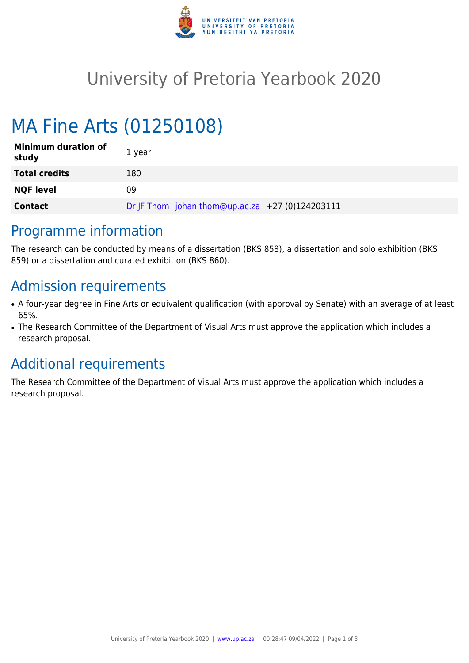

# University of Pretoria Yearbook 2020

# MA Fine Arts (01250108)

| <b>Minimum duration of</b><br>study | 1 year                                          |
|-------------------------------------|-------------------------------------------------|
| <b>Total credits</b>                | 180                                             |
| <b>NQF level</b>                    | 09                                              |
| <b>Contact</b>                      | Dr JF Thom johan.thom@up.ac.za +27 (0)124203111 |

### Programme information

The research can be conducted by means of a dissertation (BKS 858), a dissertation and solo exhibition (BKS 859) or a dissertation and curated exhibition (BKS 860).

### Admission requirements

- A four-year degree in Fine Arts or equivalent qualification (with approval by Senate) with an average of at least 65%.
- The Research Committee of the Department of Visual Arts must approve the application which includes a research proposal.

### Additional requirements

The Research Committee of the Department of Visual Arts must approve the application which includes a research proposal.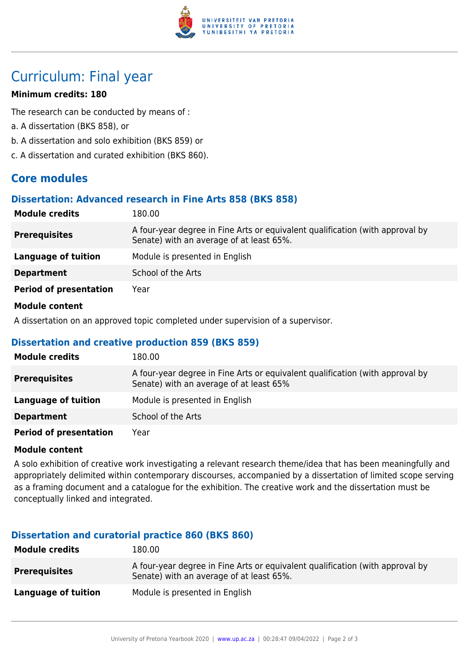

## Curriculum: Final year

#### **Minimum credits: 180**

The research can be conducted by means of :

- a. A dissertation (BKS 858), or
- b. A dissertation and solo exhibition (BKS 859) or
- c. A dissertation and curated exhibition (BKS 860).

### **Core modules**

#### **Dissertation: Advanced research in Fine Arts 858 (BKS 858)**

| <b>Module credits</b>         | 180.00                                                                                                                    |
|-------------------------------|---------------------------------------------------------------------------------------------------------------------------|
| <b>Prerequisites</b>          | A four-year degree in Fine Arts or equivalent qualification (with approval by<br>Senate) with an average of at least 65%. |
| <b>Language of tuition</b>    | Module is presented in English                                                                                            |
| <b>Department</b>             | School of the Arts                                                                                                        |
| <b>Period of presentation</b> | Year                                                                                                                      |

#### **Module content**

A dissertation on an approved topic completed under supervision of a supervisor.

#### **Dissertation and creative production 859 (BKS 859)**

| <b>Module credits</b>         | 180.00                                                                                                                   |
|-------------------------------|--------------------------------------------------------------------------------------------------------------------------|
| <b>Prerequisites</b>          | A four-year degree in Fine Arts or equivalent qualification (with approval by<br>Senate) with an average of at least 65% |
| Language of tuition           | Module is presented in English                                                                                           |
| <b>Department</b>             | School of the Arts                                                                                                       |
| <b>Period of presentation</b> | Year                                                                                                                     |

#### **Module content**

A solo exhibition of creative work investigating a relevant research theme/idea that has been meaningfully and appropriately delimited within contemporary discourses, accompanied by a dissertation of limited scope serving as a framing document and a catalogue for the exhibition. The creative work and the dissertation must be conceptually linked and integrated.

#### **Dissertation and curatorial practice 860 (BKS 860)**

| <b>Module credits</b> | 180.00                                                                                                                    |
|-----------------------|---------------------------------------------------------------------------------------------------------------------------|
| <b>Prerequisites</b>  | A four-year degree in Fine Arts or equivalent qualification (with approval by<br>Senate) with an average of at least 65%. |
| Language of tuition   | Module is presented in English                                                                                            |